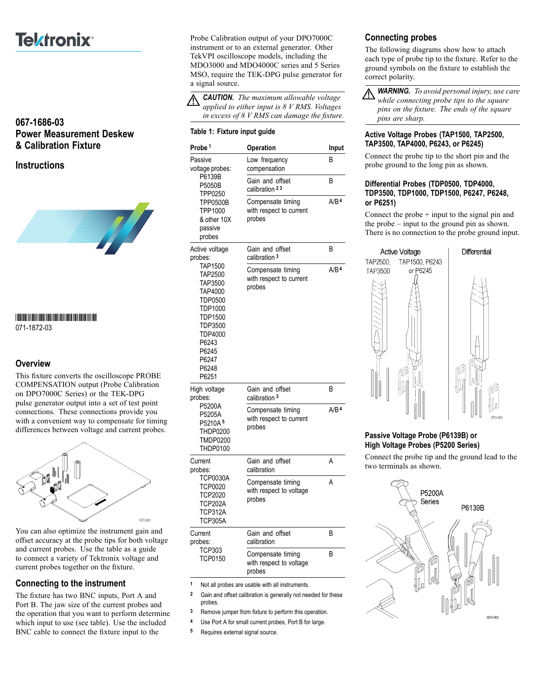# **Tektronix**<sup>®</sup>

# **067-1686-03 Power Measurement Deskew & Calibration Fixture**

**Instructions**



\*P071187203\*

071-1872-03

## **Overview**

This fixture converts the oscilloscope PROBE COMPENSATION output (Probe Calibration on DPO7000C Series) or the TEK-DPG pulse generator output into a set of test point connections. These connections provide you with a convenient way to compensate for timing differences between voltage and current probes.



You can also optimize the instrument gain and offset accuracy at the probe tips for both voltage and current probes. Use the table as a guide to connect a variety of Tektronix voltage and current probes together on the fixture.

## **Connecting to the instrument**

The fixture has two BNC inputs, Port A and Port B. The jaw size of the current probes and the operation that you want to perform determine which input to use (see table). Use the included BNC cable to connect the fixture input to the

Probe Calibration output of your DPO7000C instrument or to an external generator. Other TekVPI oscilloscope models, including the MDO3000 and MDO4000C series and 5 Series MSO, require the TEK-DPG pulse generator for a signal source.

*CAUTION. The maximum allowable voltage applied to either input is 8 V RMS. Voltages in excess of 8 V RMS can damage the fixture.*

#### **Table 1: Fixture input guide**

| Probe 1                                                                                                                                                                                 | Operation                                              | Input            |
|-----------------------------------------------------------------------------------------------------------------------------------------------------------------------------------------|--------------------------------------------------------|------------------|
| Passive<br>voltage probes:<br>P6139B<br>P5050B<br>TPP0250<br><b>TPP0500B</b><br>TPP1000<br>& other 10X<br>passive<br>probes                                                             | Low frequency<br>compensation                          | B                |
|                                                                                                                                                                                         | Gain and offset<br>calibration 23                      | В                |
|                                                                                                                                                                                         | Compensate timing<br>with respect to current<br>probes | A/B <sup>4</sup> |
| Active voltage<br>probes:<br><b>TAP1500</b><br>TAP2500<br>TAP3500<br>TAP4000<br>TDP0500<br>TDP1000<br><b>TDP1500</b><br>TDP3500<br>TDP4000<br>P6243<br>P6245<br>P6247<br>P6248<br>P6251 | Gain and offset<br>calibration <sup>3</sup>            | В                |
|                                                                                                                                                                                         | Compensate timing<br>with respect to current<br>probes | A/B <sup>4</sup> |
| High voltage<br>probes:<br>P5200A<br>P5205A<br>P5210A <sup>5</sup><br>THDP0200<br><b>TMDP0200</b><br><b>THDP0100</b>                                                                    | Gain and offset<br>calibration <sup>3</sup>            | B                |
|                                                                                                                                                                                         | Compensate timing<br>with respect to current<br>probes | A/B <sup>4</sup> |
| Current<br>probes:<br>TCP0030A<br><b>TCP0020</b><br><b>TCP2020</b><br><b>TCP202A</b><br>TCP312A<br><b>TCP305A</b>                                                                       | Gain and offset<br>calibration                         | А                |
|                                                                                                                                                                                         | Compensate timing<br>with respect to voltage<br>probes | Α                |
| Current<br>probes:<br><b>TCP303</b><br><b>TCP0150</b>                                                                                                                                   | Gain and offset<br>calibration                         | B                |
|                                                                                                                                                                                         | Compensate timing<br>with respect to voltage<br>probes | B                |

**1** Not all probes are usable with all instruments.

**2** Gain and offset calibration is generally not needed for these probes.

**3** Remove jumper from fixture to perform this operation.

**4** Use Port A for small current probes, Port B for large.

**5** Requires external signal source.

# **Connecting probes**

The following diagrams show how to attach each type of probe tip to the fixture. Refer to the ground symbols on the fixture to establish the correct polarity.

*WARNING. To avoid personal injury, use care while connecting probe tips to the square pins on the fixture. The ends of the square pins are sharp.*

#### **Active Voltage Probes (TAP1500, TAP2500, TAP3500, TAP4000, P6243, or P6245)**

Connect the probe tip to the short pin and the probe ground to the long pin as shown.

## **Differential Probes (TDP0500, TDP4000, TDP3500, TDP1000, TDP1500, P6247, P6248, or P6251)**

Connect the probe  $+$  input to the signal pin and the probe – input to the ground pin as shown. There is no connection to the probe ground input.



## **Passive Voltage Probe (P6139B) or High Voltage Probes (P5200 Series)**

Connect the probe tip and the ground lead to the two terminals as shown.